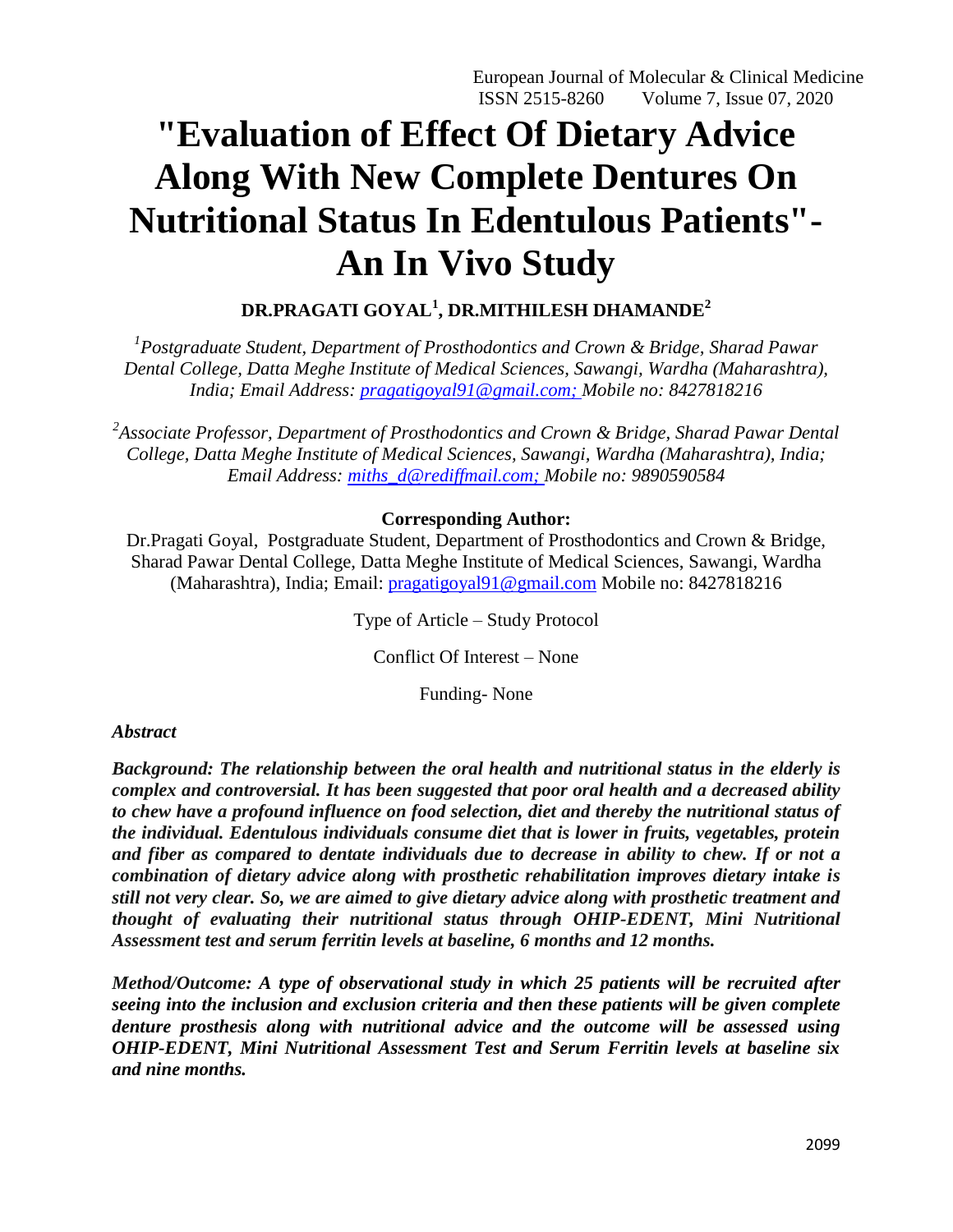# **"Evaluation of Effect Of Dietary Advice Along With New Complete Dentures On Nutritional Status In Edentulous Patients"- An In Vivo Study**

# **DR.PRAGATI GOYAL<sup>1</sup> , DR.MITHILESH DHAMANDE<sup>2</sup>**

*1 Postgraduate Student, Department of Prosthodontics and Crown & Bridge, Sharad Pawar Dental College, Datta Meghe Institute of Medical Sciences, Sawangi, Wardha (Maharashtra), India; Email Address: [pragatigoyal91@gmail.com;](mailto:pragatigoyal91@gmail.com) Mobile no: 8427818216*

<sup>2</sup> Associate Professor, Department of Prosthodontics and Crown & Bridge, Sharad Pawar Dental *College, Datta Meghe Institute of Medical Sciences, Sawangi, Wardha (Maharashtra), India; Email Address: [miths\\_d@rediffmail.com;](mailto:miths_d@rediffmail.com) Mobile no: 9890590584*

# **Corresponding Author:**

Dr.Pragati Goyal, Postgraduate Student, Department of Prosthodontics and Crown & Bridge, Sharad Pawar Dental College, Datta Meghe Institute of Medical Sciences, Sawangi, Wardha (Maharashtra), India; Email: [pragatigoyal91@gmail.com](mailto:pragatigoyal91@gmail.com) Mobile no: 8427818216

Type of Article – Study Protocol

Conflict Of Interest – None

Funding- None

# *Abstract*

*Background: The relationship between the oral health and nutritional status in the elderly is complex and controversial. It has been suggested that poor oral health and a decreased ability to chew have a profound influence on food selection, diet and thereby the nutritional status of the individual. Edentulous individuals consume diet that is lower in fruits, vegetables, protein and fiber as compared to dentate individuals due to decrease in ability to chew. If or not a combination of dietary advice along with prosthetic rehabilitation improves dietary intake is still not very clear. So, we are aimed to give dietary advice along with prosthetic treatment and thought of evaluating their nutritional status through OHIP-EDENT, Mini Nutritional Assessment test and serum ferritin levels at baseline, 6 months and 12 months.* 

*Method/Outcome: A type of observational study in which 25 patients will be recruited after seeing into the inclusion and exclusion criteria and then these patients will be given complete denture prosthesis along with nutritional advice and the outcome will be assessed using OHIP-EDENT, Mini Nutritional Assessment Test and Serum Ferritin levels at baseline six and nine months.*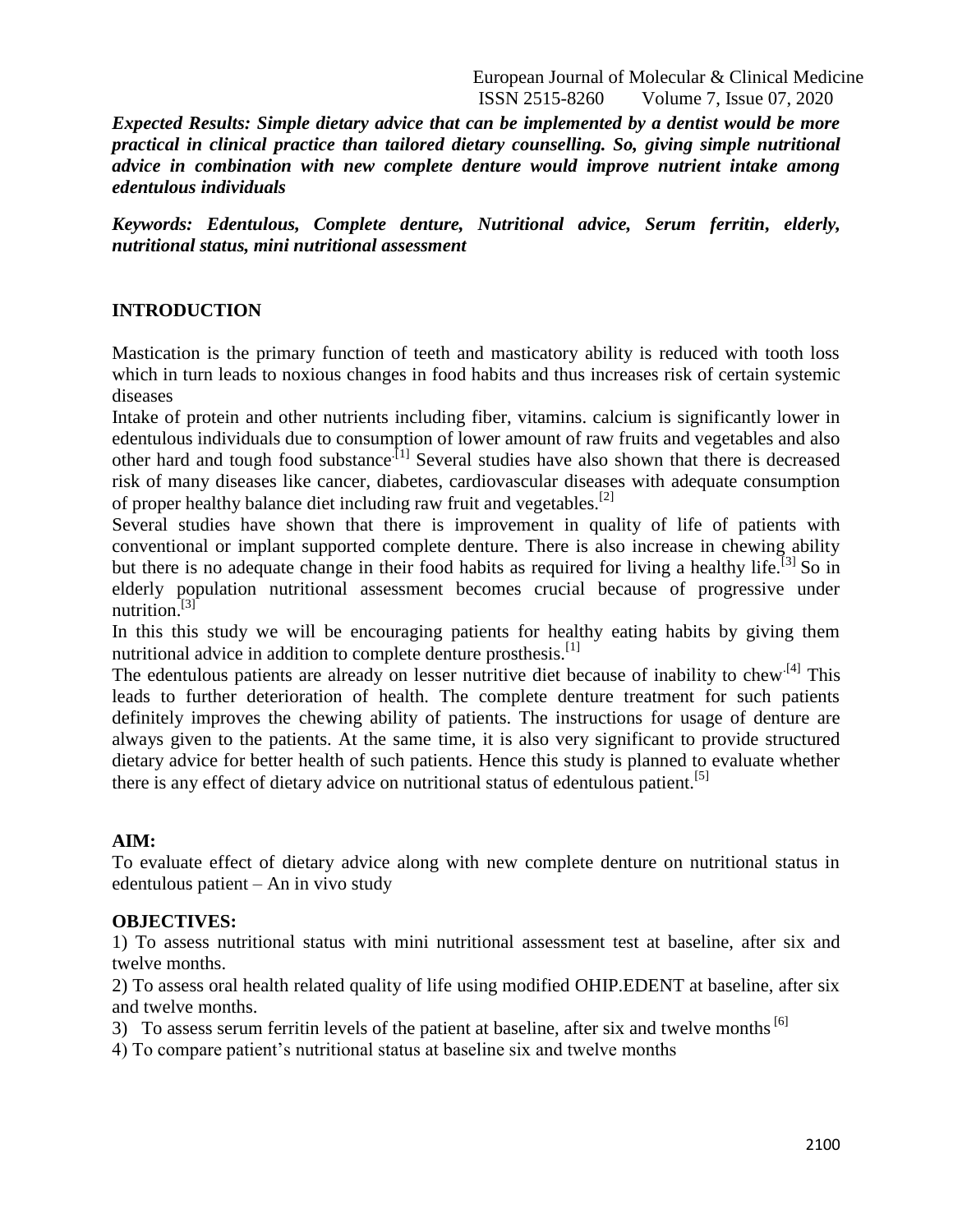European Journal of Molecular & Clinical Medicine ISSN 2515-8260 Volume 7, Issue 07, 2020

*Expected Results: Simple dietary advice that can be implemented by a dentist would be more practical in clinical practice than tailored dietary counselling. So, giving simple nutritional advice in combination with new complete denture would improve nutrient intake among edentulous individuals*

*Keywords: Edentulous, Complete denture, Nutritional advice, Serum ferritin, elderly, nutritional status, mini nutritional assessment*

## **INTRODUCTION**

Mastication is the primary function of teeth and masticatory ability is reduced with tooth loss which in turn leads to noxious changes in food habits and thus increases risk of certain systemic diseases

Intake of protein and other nutrients including fiber, vitamins. calcium is significantly lower in edentulous individuals due to consumption of lower amount of raw fruits and vegetables and also other hard and tough food substance<sup>[1]</sup> Several studies have also shown that there is decreased risk of many diseases like cancer, diabetes, cardiovascular diseases with adequate consumption of proper healthy balance diet including raw fruit and vegetables.<sup>[2]</sup>

Several studies have shown that there is improvement in quality of life of patients with conventional or implant supported complete denture. There is also increase in chewing ability but there is no adequate change in their food habits as required for living a healthy life.<sup>[3]</sup> So in elderly population nutritional assessment becomes crucial because of progressive under nutrition.<sup>[3]</sup>

In this this study we will be encouraging patients for healthy eating habits by giving them nutritional advice in addition to complete denture prosthesis.<sup>[1]</sup>

The edentulous patients are already on lesser nutritive diet because of inability to chew<sup>[4]</sup> This leads to further deterioration of health. The complete denture treatment for such patients definitely improves the chewing ability of patients. The instructions for usage of denture are always given to the patients. At the same time, it is also very significant to provide structured dietary advice for better health of such patients. Hence this study is planned to evaluate whether there is any effect of dietary advice on nutritional status of edentulous patient.<sup>[5]</sup>

#### **AIM:**

To evaluate effect of dietary advice along with new complete denture on nutritional status in edentulous patient – An in vivo study

#### **OBJECTIVES:**

1) To assess nutritional status with mini nutritional assessment test at baseline, after six and twelve months.

2) To assess oral health related quality of life using modified OHIP.EDENT at baseline, after six and twelve months.

3) To assess serum ferritin levels of the patient at baseline, after six and twelve months<sup>[6]</sup>

4) To compare patient's nutritional status at baseline six and twelve months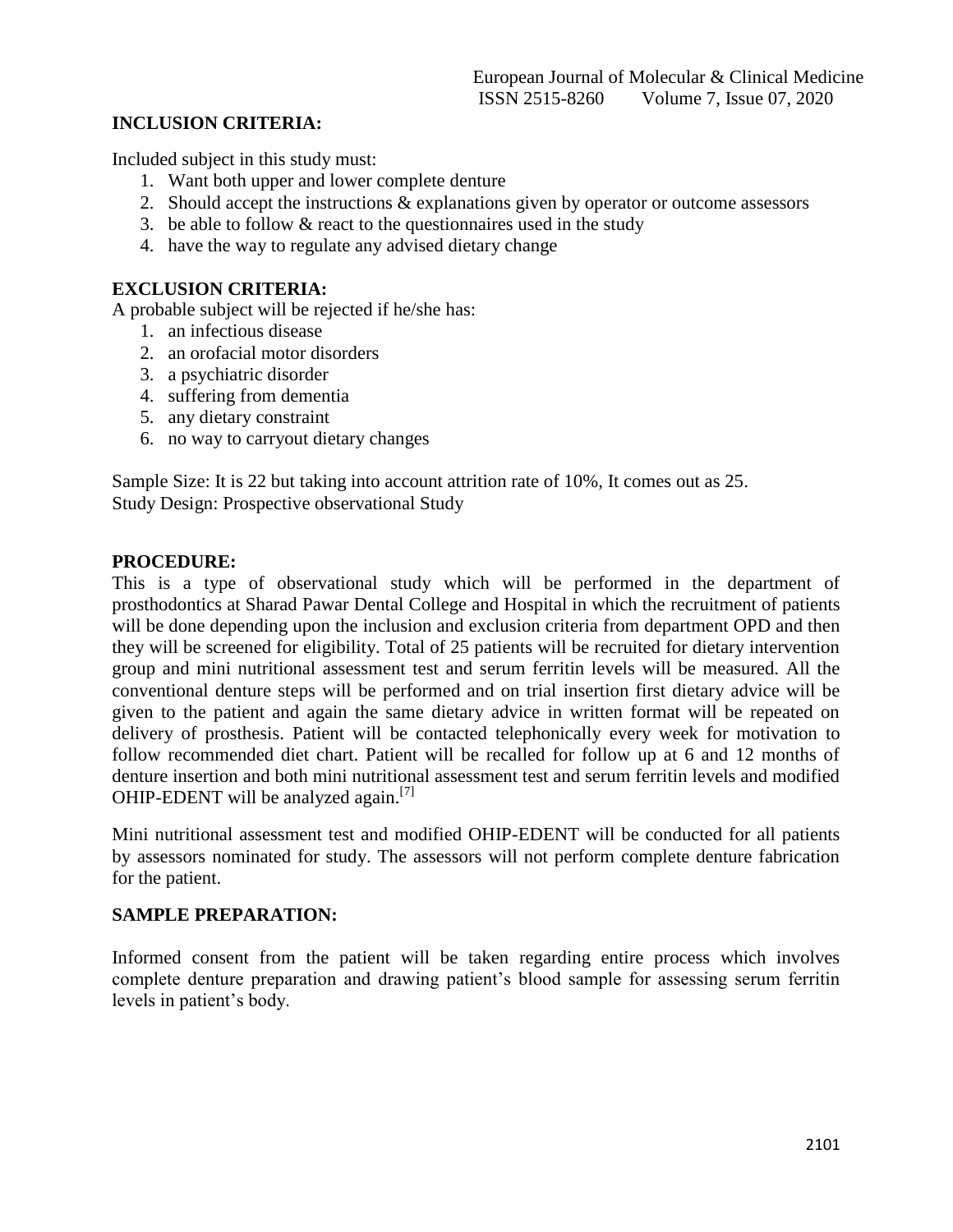## **INCLUSION CRITERIA:**

Included subject in this study must:

- 1. Want both upper and lower complete denture
- 2. Should accept the instructions & explanations given by operator or outcome assessors
- 3. be able to follow  $&$  react to the questionnaires used in the study
- 4. have the way to regulate any advised dietary change

### **EXCLUSION CRITERIA:**

A probable subject will be rejected if he/she has:

- 1. an infectious disease
- 2. an orofacial motor disorders
- 3. a psychiatric disorder
- 4. suffering from dementia
- 5. any dietary constraint
- 6. no way to carryout dietary changes

Sample Size: It is 22 but taking into account attrition rate of 10%, It comes out as 25. Study Design: Prospective observational Study

#### **PROCEDURE:**

This is a type of observational study which will be performed in the department of prosthodontics at Sharad Pawar Dental College and Hospital in which the recruitment of patients will be done depending upon the inclusion and exclusion criteria from department OPD and then they will be screened for eligibility. Total of 25 patients will be recruited for dietary intervention group and mini nutritional assessment test and serum ferritin levels will be measured. All the conventional denture steps will be performed and on trial insertion first dietary advice will be given to the patient and again the same dietary advice in written format will be repeated on delivery of prosthesis. Patient will be contacted telephonically every week for motivation to follow recommended diet chart. Patient will be recalled for follow up at 6 and 12 months of denture insertion and both mini nutritional assessment test and serum ferritin levels and modified OHIP-EDENT will be analyzed again.<sup>[7]</sup>

Mini nutritional assessment test and modified OHIP-EDENT will be conducted for all patients by assessors nominated for study. The assessors will not perform complete denture fabrication for the patient.

#### **SAMPLE PREPARATION:**

Informed consent from the patient will be taken regarding entire process which involves complete denture preparation and drawing patient's blood sample for assessing serum ferritin levels in patient's body.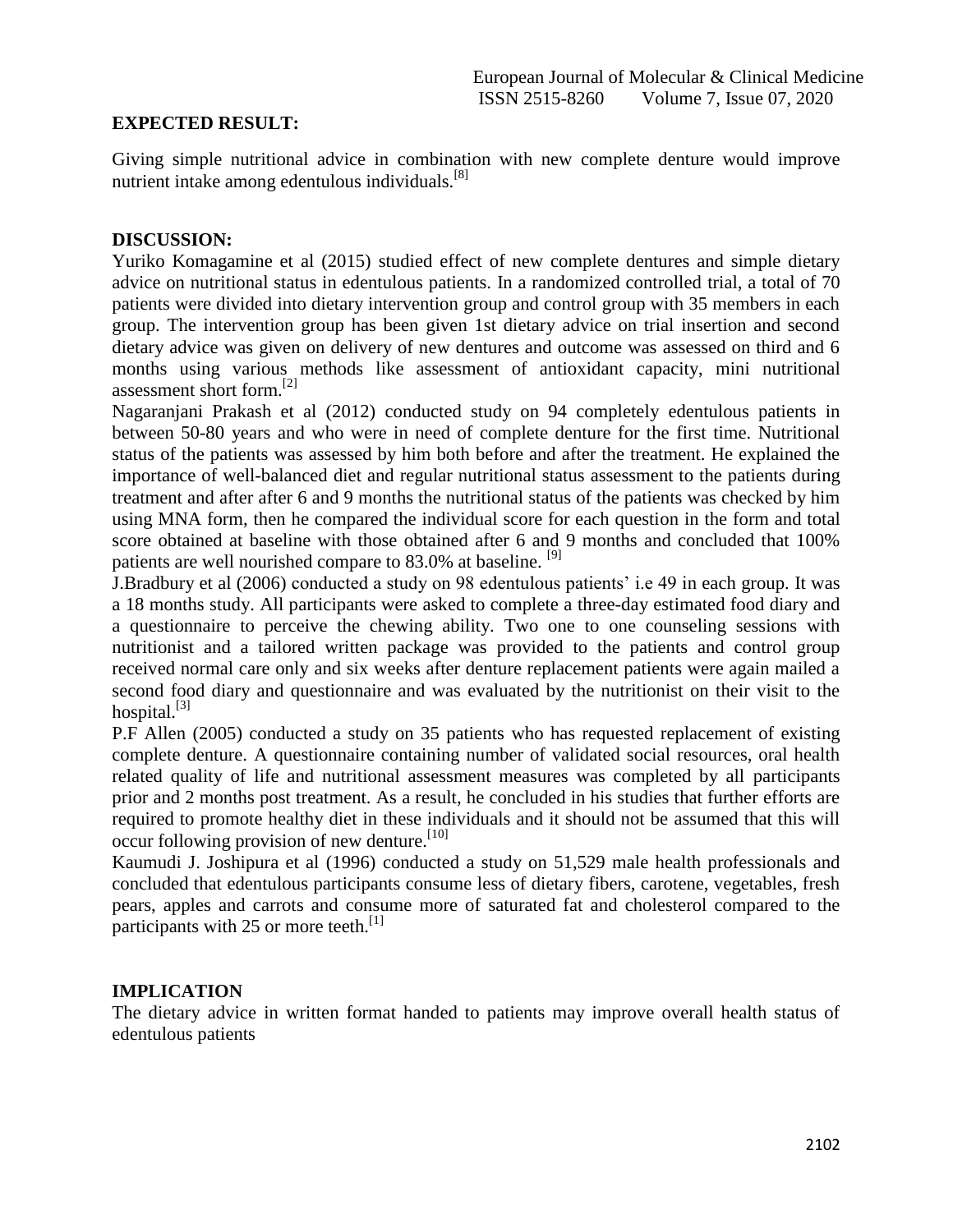#### **EXPECTED RESULT:**

Giving simple nutritional advice in combination with new complete denture would improve nutrient intake among edentulous individuals.<sup>[8]</sup>

#### **DISCUSSION:**

Yuriko Komagamine et al (2015) studied effect of new complete dentures and simple dietary advice on nutritional status in edentulous patients. In a randomized controlled trial, a total of 70 patients were divided into dietary intervention group and control group with 35 members in each group. The intervention group has been given 1st dietary advice on trial insertion and second dietary advice was given on delivery of new dentures and outcome was assessed on third and 6 months using various methods like assessment of antioxidant capacity, mini nutritional assessment short form.<sup>[2]</sup>

Nagaranjani Prakash et al (2012) conducted study on 94 completely edentulous patients in between 50-80 years and who were in need of complete denture for the first time. Nutritional status of the patients was assessed by him both before and after the treatment. He explained the importance of well-balanced diet and regular nutritional status assessment to the patients during treatment and after after 6 and 9 months the nutritional status of the patients was checked by him using MNA form, then he compared the individual score for each question in the form and total score obtained at baseline with those obtained after 6 and 9 months and concluded that 100% patients are well nourished compare to 83.0% at baseline. <sup>[9]</sup>

J.Bradbury et al (2006) conducted a study on 98 edentulous patients' i.e 49 in each group. It was a 18 months study. All participants were asked to complete a three-day estimated food diary and a questionnaire to perceive the chewing ability. Two one to one counseling sessions with nutritionist and a tailored written package was provided to the patients and control group received normal care only and six weeks after denture replacement patients were again mailed a second food diary and questionnaire and was evaluated by the nutritionist on their visit to the hospital. $^{[3]}$ 

P.F Allen (2005) conducted a study on 35 patients who has requested replacement of existing complete denture. A questionnaire containing number of validated social resources, oral health related quality of life and nutritional assessment measures was completed by all participants prior and 2 months post treatment. As a result, he concluded in his studies that further efforts are required to promote healthy diet in these individuals and it should not be assumed that this will occur following provision of new denture.<sup>[10]</sup>

Kaumudi J. Joshipura et al (1996) conducted a study on 51,529 male health professionals and concluded that edentulous participants consume less of dietary fibers, carotene, vegetables, fresh pears, apples and carrots and consume more of saturated fat and cholesterol compared to the participants with 25 or more teeth.<sup>[1]</sup>

#### **IMPLICATION**

The dietary advice in written format handed to patients may improve overall health status of edentulous patients